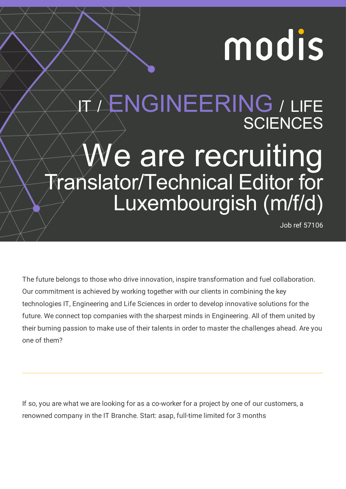# modis

# IT / ENGINEERING / LIFE **SCIENCES** We are recruiting Translator/Technical Editor for Luxembourgish (m/f/d)

Job ref 57106

The future belongs to those who drive innovation, inspire transformation and fuel collaboration. Our commitment is achieved by working together with our clients in combining the key technologies IT, Engineering and Life Sciences in order to develop innovative solutions for the future. We connect top companies with the sharpest minds in Engineering. All of them united by their burning passion to make use of their talents in order to master the challenges ahead. Are you one of them?

If so, you are what we are looking for as a co-worker for a project by one of our customers, a renowned company in the IT Branche. Start: asap, full-time limited for 3 months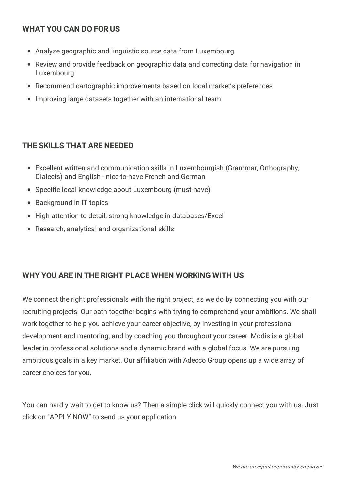## **WHAT YOU CAN DO FOR US**

- Analyze geographic and linguistic source data from Luxembourg
- Review and provide feedback on geographic data and correcting data for navigation in Luxembourg
- Recommend cartographic improvements based on local market's preferences
- Improving large datasets together with an international team

#### **THE SKILLS THAT ARE NEEDED**

- Excellent written and communication skills in Luxembourgish (Grammar, Orthography, Dialects) and English - nice-to-have French and German
- Specific local knowledge about Luxembourg (must-have)
- Background in IT topics
- High attention to detail, strong knowledge in databases/Excel
- Research, analytical and organizational skills

## **WHY YOU ARE IN THE RIGHT PLACE WHEN WORKING WITH US**

We connect the right professionals with the right project, as we do by connecting you with our recruiting projects! Our path together begins with trying to comprehend your ambitions. We shall work together to help you achieve your career objective, by investing in your professional development and mentoring, and by coaching you throughout your career. Modis is a global leader in professional solutions and a dynamic brand with a global focus. We are pursuing ambitious goals in a key market. Our affiliation with Adecco Group opens up a wide array of career choices for you.

You can hardly wait to get to know us? Then a simple click will quickly connect you with us. Just click on "APPLY NOW" to send us your application.